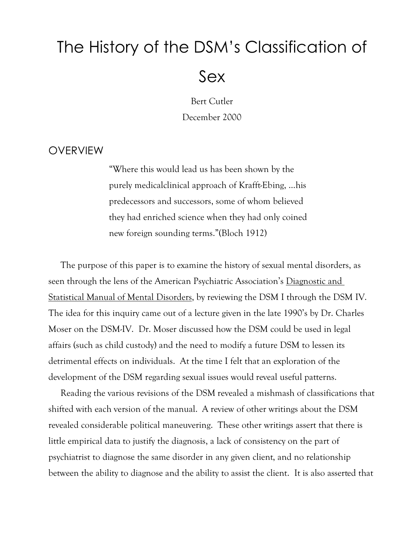# The History of the DSM's Classification of Sex

Bert Cutler December 2000

# OVERVIEW

"Where this would lead us has been shown by the purely medicalclinical approach of Krafft-Ebing, …his predecessors and successors, some of whom believed they had enriched science when they had only coined new foreign sounding terms."(Bloch 1912)

The purpose of this paper is to examine the history of sexual mental disorders, as seen through the lens of the American Psychiatric Association's Diagnostic and Statistical Manual of Mental Disorders, by reviewing the DSM I through the DSM IV. The idea for this inquiry came out of a lecture given in the late 1990's by Dr. Charles Moser on the DSM-IV. Dr. Moser discussed how the DSM could be used in legal affairs (such as child custody) and the need to modify a future DSM to lessen its detrimental effects on individuals. At the time I felt that an exploration of the development of the DSM regarding sexual issues would reveal useful patterns.

Reading the various revisions of the DSM revealed a mishmash of classifications that shifted with each version of the manual. A review of other writings about the DSM revealed considerable political maneuvering. These other writings assert that there is little empirical data to justify the diagnosis, a lack of consistency on the part of psychiatrist to diagnose the same disorder in any given client, and no relationship between the ability to diagnose and the ability to assist the client. It is also asserted that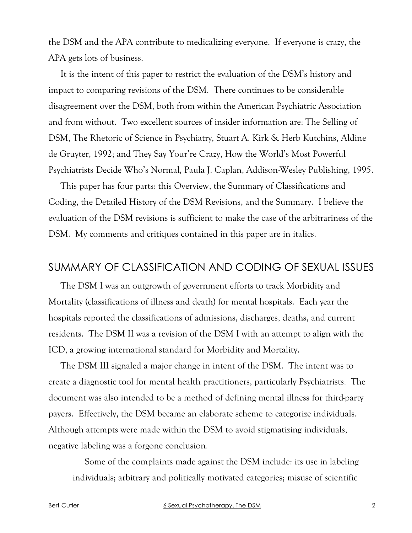the DSM and the APA contribute to medicalizing everyone. If everyone is crazy, the APA gets lots of business.

It is the intent of this paper to restrict the evaluation of the DSM's history and impact to comparing revisions of the DSM. There continues to be considerable disagreement over the DSM, both from within the American Psychiatric Association and from without. Two excellent sources of insider information are: The Selling of DSM, The Rhetoric of Science in Psychiatry, Stuart A. Kirk & Herb Kutchins, Aldine de Gruyter, 1992; and They Say Your're Crazy, How the World's Most Powerful Psychiatrists Decide Who's Normal, Paula J. Caplan, Addison-Wesley Publishing, 1995.

This paper has four parts: this Overview, the Summary of Classifications and Coding, the Detailed History of the DSM Revisions, and the Summary. I believe the evaluation of the DSM revisions is sufficient to make the case of the arbitrariness of the DSM. My comments and critiques contained in this paper are in italics.

# SUMMARY OF CLASSIFICATION AND CODING OF SEXUAL ISSUES

The DSM I was an outgrowth of government efforts to track Morbidity and Mortality (classifications of illness and death) for mental hospitals. Each year the hospitals reported the classifications of admissions, discharges, deaths, and current residents. The DSM II was a revision of the DSM I with an attempt to align with the ICD, a growing international standard for Morbidity and Mortality.

The DSM III signaled a major change in intent of the DSM. The intent was to create a diagnostic tool for mental health practitioners, particularly Psychiatrists. The document was also intended to be a method of defining mental illness for third-party payers. Effectively, the DSM became an elaborate scheme to categorize individuals. Although attempts were made within the DSM to avoid stigmatizing individuals, negative labeling was a forgone conclusion.

Some of the complaints made against the DSM include: its use in labeling individuals; arbitrary and politically motivated categories; misuse of scientific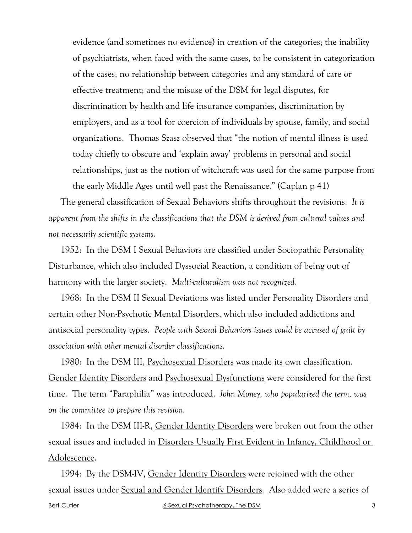evidence (and sometimes no evidence) in creation of the categories; the inability of psychiatrists, when faced with the same cases, to be consistent in categorization of the cases; no relationship between categories and any standard of care or effective treatment; and the misuse of the DSM for legal disputes, for discrimination by health and life insurance companies, discrimination by employers, and as a tool for coercion of individuals by spouse, family, and social organizations. Thomas Szasz observed that "the notion of mental illness is used today chiefly to obscure and 'explain away' problems in personal and social relationships, just as the notion of witchcraft was used for the same purpose from the early Middle Ages until well past the Renaissance." (Caplan p 41)

The general classification of Sexual Behaviors shifts throughout the revisions. *It is apparent from the shifts in the classifications that the DSM is derived from cultural values and not necessarily scientific systems*.

1952: In the DSM I Sexual Behaviors are classified under Sociopathic Personality Disturbance, which also included Dyssocial Reaction, a condition of being out of harmony with the larger society. *Multi-culturalism was not recognized.*

1968: In the DSM II Sexual Deviations was listed under Personality Disorders and certain other Non-Psychotic Mental Disorders, which also included addictions and antisocial personality types. *People with Sexual Behaviors issues could be accused of guilt by association with other mental disorder classifications.*

1980: In the DSM III, Psychosexual Disorders was made its own classification. Gender Identity Disorders and Psychosexual Dysfunctions were considered for the first time. The term "Paraphilia" was introduced. *John Money, who popularized the term, was on the committee to prepare this revision.*

1984: In the DSM III-R, Gender Identity Disorders were broken out from the other sexual issues and included in Disorders Usually First Evident in Infancy, Childhood or Adolescence.

Bert Cutler 6 Sexual Psychotherapy, The DSM 3 1994: By the DSM-IV, Gender Identity Disorders were rejoined with the other sexual issues under Sexual and Gender Identify Disorders. Also added were a series of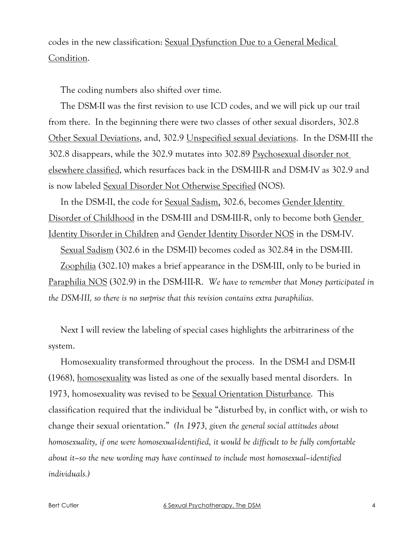codes in the new classification: Sexual Dysfunction Due to a General Medical Condition.

The coding numbers also shifted over time.

The DSM-II was the first revision to use ICD codes, and we will pick up our trail from there. In the beginning there were two classes of other sexual disorders, 302.8 Other Sexual Deviations, and, 302.9 Unspecified sexual deviations. In the DSM-III the 302.8 disappears, while the 302.9 mutates into 302.89 Psychosexual disorder not elsewhere classified, which resurfaces back in the DSM-III-R and DSM-IV as 302.9 and is now labeled Sexual Disorder Not Otherwise Specified (NOS).

In the DSM-II, the code for <u>Sexual Sadism</u>, 302.6, becomes Gender Identity Disorder of Childhood in the DSM-III and DSM-III-R, only to become both Gender Identity Disorder in Children and Gender Identity Disorder NOS in the DSM-IV.

Sexual Sadism (302.6 in the DSM-II) becomes coded as 302.84 in the DSM-III.

Zoophilia (302.10) makes a brief appearance in the DSM-III, only to be buried in Paraphilia NOS (302.9) in the DSM-III-R. *We have to remember that Money participated in the DSM-III, so there is no surprise that this revision contains extra paraphilias.*

Next I will review the labeling of special cases highlights the arbitrariness of the system.

Homosexuality transformed throughout the process. In the DSM-I and DSM-II (1968), homosexuality was listed as one of the sexually based mental disorders. In 1973, homosexuality was revised to be Sexual Orientation Disturbance. This classification required that the individual be "disturbed by, in conflict with, or wish to change their sexual orientation." *(In 1973, given the general social attitudes about homosexuality, if one were homosexual-identified, it would be difficult to be fully comfortable about it–so the new wording may have continued to include most homosexual–identified individuals.)*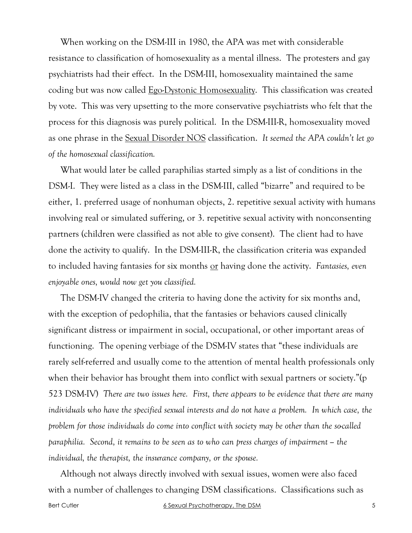When working on the DSM-III in 1980, the APA was met with considerable resistance to classification of homosexuality as a mental illness. The protesters and gay psychiatrists had their effect. In the DSM-III, homosexuality maintained the same coding but was now called Ego-Dystonic Homosexuality. This classification was created by vote. This was very upsetting to the more conservative psychiatrists who felt that the process for this diagnosis was purely political. In the DSM-III-R, homosexuality moved as one phrase in the Sexual Disorder NOS classification. *It seemed the APA couldn't let go of the homosexual classification.*

What would later be called paraphilias started simply as a list of conditions in the DSM-I. They were listed as a class in the DSM-III, called "bizarre" and required to be either, 1. preferred usage of nonhuman objects, 2. repetitive sexual activity with humans involving real or simulated suffering, or 3. repetitive sexual activity with nonconsenting partners (children were classified as not able to give consent). The client had to have done the activity to qualify. In the DSM-III-R, the classification criteria was expanded to included having fantasies for six months or having done the activity. *Fantasies, even enjoyable ones, would now get you classified.*

The DSM-IV changed the criteria to having done the activity for six months and, with the exception of pedophilia, that the fantasies or behaviors caused clinically significant distress or impairment in social, occupational, or other important areas of functioning. The opening verbiage of the DSM-IV states that "these individuals are rarely self-referred and usually come to the attention of mental health professionals only when their behavior has brought them into conflict with sexual partners or society."(p 523 DSM-IV) *There are two issues here. First, there appears to be evidence that there are many individuals who have the specified sexual interests and do not have a problem. In which case, the problem for those individuals do come into conflict with society may be other than the so-called paraphilia. Second, it remains to be seen as to who can press charges of impairment – the individual, the therapist, the insurance company, or the spouse.*

Although not always directly involved with sexual issues, women were also faced with a number of challenges to changing DSM classifications. Classifications such as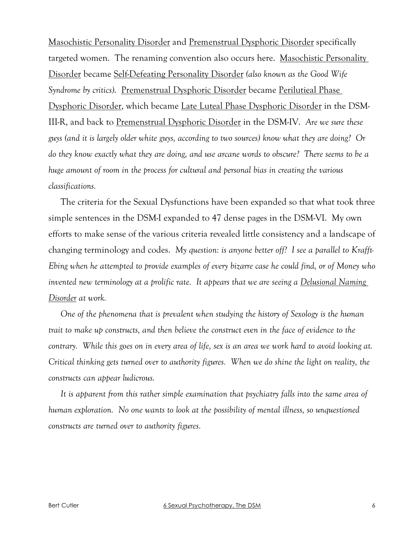Masochistic Personality Disorder and Premenstrual Dysphoric Disorder specifically targeted women. The renaming convention also occurs here. <u>Masochistic Personality</u> Disorder became Self-Defeating Personality Disorder *(also known as the Good Wife*  Syndrome by critics). Premenstrual Dysphoric Disorder became Perilutieal Phase Dysphoric Disorder, which became Late Luteal Phase Dysphoric Disorder in the DSM-III-R, and back to Premenstrual Dysphoric Disorder in the DSM-IV. *Are we sure these guys (and it is largely older white guys, according to two sources) know what they are doing? Or do they know exactly what they are doing, and use arcane words to obscure? There seems to be a huge amount of room in the process for cultural and personal bias in creating the various classifications.*

The criteria for the Sexual Dysfunctions have been expanded so that what took three simple sentences in the DSM-I expanded to 47 dense pages in the DSM-VI. My own efforts to make sense of the various criteria revealed little consistency and a landscape of changing terminology and codes. *My question: is anyone better off? I see a parallel to Krafft-Ebing when he attempted to provide examples of every bizarre case he could find, or of Money who invented new terminology at a prolific rate. It appears that we are seeing a Delusional Naming Disorder at work.*

*One of the phenomena that is prevalent when studying the history of Sexology is the human trait to make up constructs, and then believe the construct even in the face of evidence to the contrary. While this goes on in every area of life, sex is an area we work hard to avoid looking at. Critical thinking gets turned over to authority figures. When we do shine the light on reality, the constructs can appear ludicrous.* 

*It is apparent from this rather simple examination that psychiatry falls into the same area of human exploration. No one wants to look at the possibility of mental illness, so unquestioned constructs are turned over to authority figures.*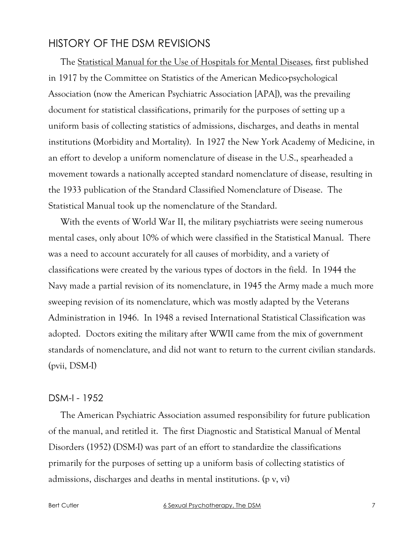# HISTORY OF THE DSM REVISIONS

The Statistical Manual for the Use of Hospitals for Mental Diseases, first published in 1917 by the Committee on Statistics of the American Medico-psychological Association (now the American Psychiatric Association [APA]), was the prevailing document for statistical classifications, primarily for the purposes of setting up a uniform basis of collecting statistics of admissions, discharges, and deaths in mental institutions (Morbidity and Mortality). In 1927 the New York Academy of Medicine, in an effort to develop a uniform nomenclature of disease in the U.S., spearheaded a movement towards a nationally accepted standard nomenclature of disease, resulting in the 1933 publication of the Standard Classified Nomenclature of Disease. The Statistical Manual took up the nomenclature of the Standard.

With the events of World War II, the military psychiatrists were seeing numerous mental cases, only about 10% of which were classified in the Statistical Manual. There was a need to account accurately for all causes of morbidity, and a variety of classifications were created by the various types of doctors in the field. In 1944 the Navy made a partial revision of its nomenclature, in 1945 the Army made a much more sweeping revision of its nomenclature, which was mostly adapted by the Veterans Administration in 1946. In 1948 a revised International Statistical Classification was adopted. Doctors exiting the military after WWII came from the mix of government standards of nomenclature, and did not want to return to the current civilian standards. (pvii, DSM-I)

#### DSM-I - 1952

The American Psychiatric Association assumed responsibility for future publication of the manual, and retitled it. The first Diagnostic and Statistical Manual of Mental Disorders (1952) (DSM-I) was part of an effort to standardize the classifications primarily for the purposes of setting up a uniform basis of collecting statistics of admissions, discharges and deaths in mental institutions. (p v, vi)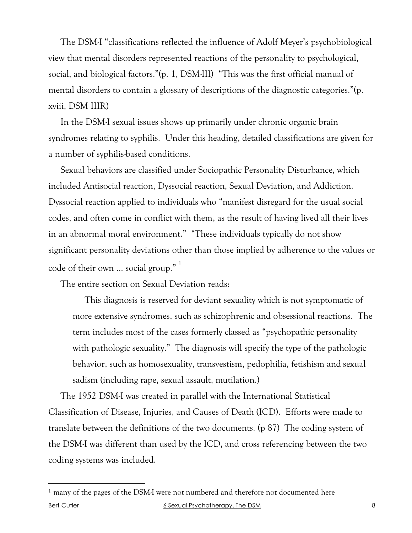The DSM-I "classifications reflected the influence of Adolf Meyer's psychobiological view that mental disorders represented reactions of the personality to psychological, social, and biological factors."(p. 1, DSM-III) "This was the first official manual of mental disorders to contain a glossary of descriptions of the diagnostic categories."(p. xviii, DSM IIIR)

In the DSM-I sexual issues shows up primarily under chronic organic brain syndromes relating to syphilis. Under this heading, detailed classifications are given for a number of syphilis-based conditions.

Sexual behaviors are classified under Sociopathic Personality Disturbance, which included Antisocial reaction, Dyssocial reaction, Sexual Deviation, and Addiction. Dyssocial reaction applied to individuals who "manifest disregard for the usual social codes, and often come in conflict with them, as the result of having lived all their lives in an abnormal moral environment." "These individuals typically do not show significant personality deviations other than those implied by adherence to the values or code of their own … social group." <sup>1</sup>

The entire section on Sexual Deviation reads:

This diagnosis is reserved for deviant sexuality which is not symptomatic of more extensive syndromes, such as schizophrenic and obsessional reactions. The term includes most of the cases formerly classed as "psychopathic personality with pathologic sexuality." The diagnosis will specify the type of the pathologic behavior, such as homosexuality, transvestism, pedophilia, fetishism and sexual sadism (including rape, sexual assault, mutilation.)

The 1952 DSM-I was created in parallel with the International Statistical Classification of Disease, Injuries, and Causes of Death (ICD). Efforts were made to translate between the definitions of the two documents. (p 87) The coding system of the DSM-I was different than used by the ICD, and cross referencing between the two coding systems was included.

Bert Cutler 6 Sexual Psychotherapy, The DSM 8 <sup>1</sup> many of the pages of the DSM-I were not numbered and therefore not documented here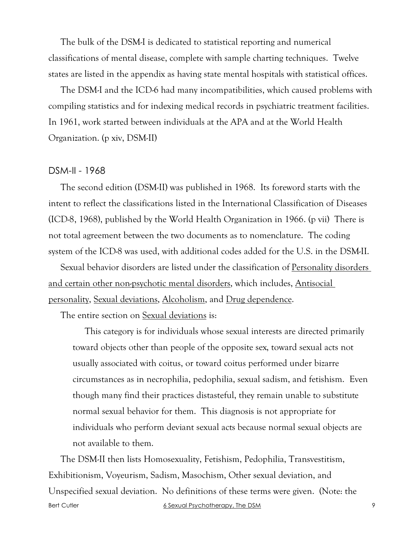The bulk of the DSM-I is dedicated to statistical reporting and numerical classifications of mental disease, complete with sample charting techniques. Twelve states are listed in the appendix as having state mental hospitals with statistical offices.

The DSM-I and the ICD-6 had many incompatibilities, which caused problems with compiling statistics and for indexing medical records in psychiatric treatment facilities. In 1961, work started between individuals at the APA and at the World Health Organization. (p xiv, DSM-II)

#### DSM-II - 1968

The second edition (DSM-II) was published in 1968. Its foreword starts with the intent to reflect the classifications listed in the International Classification of Diseases (ICD-8, 1968), published by the World Health Organization in 1966. (p vii) There is not total agreement between the two documents as to nomenclature. The coding system of the ICD-8 was used, with additional codes added for the U.S. in the DSM-II.

Sexual behavior disorders are listed under the classification of Personality disorders and certain other non-psychotic mental disorders, which includes, Antisocial personality, Sexual deviations, Alcoholism, and Drug dependence.

The entire section on Sexual deviations is:

This category is for individuals whose sexual interests are directed primarily toward objects other than people of the opposite sex, toward sexual acts not usually associated with coitus, or toward coitus performed under bizarre circumstances as in necrophilia, pedophilia, sexual sadism, and fetishism. Even though many find their practices distasteful, they remain unable to substitute normal sexual behavior for them. This diagnosis is not appropriate for individuals who perform deviant sexual acts because normal sexual objects are not available to them.

Bert Cutler 6 Sexual Psychotherapy, The DSM 9 The DSM-II then lists Homosexuality, Fetishism, Pedophilia, Transvestitism, Exhibitionism, Voyeurism, Sadism, Masochism, Other sexual deviation, and Unspecified sexual deviation. No definitions of these terms were given. (Note: the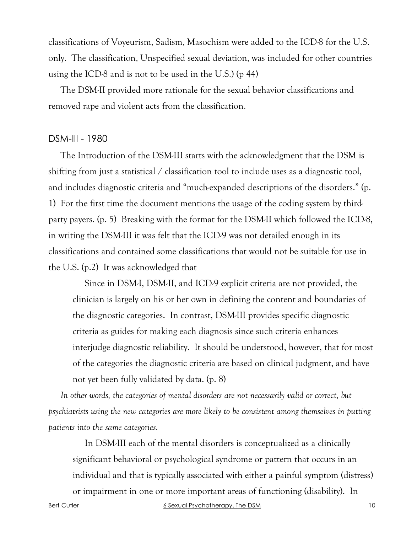classifications of Voyeurism, Sadism, Masochism were added to the ICD-8 for the U.S. only. The classification, Unspecified sexual deviation, was included for other countries using the ICD-8 and is not to be used in the U.S.) (p 44)

The DSM-II provided more rationale for the sexual behavior classifications and removed rape and violent acts from the classification.

## DSM-III - 1980

The Introduction of the DSM-III starts with the acknowledgment that the DSM is shifting from just a statistical / classification tool to include uses as a diagnostic tool, and includes diagnostic criteria and "much-expanded descriptions of the disorders." (p. 1) For the first time the document mentions the usage of the coding system by thirdparty payers. (p. 5) Breaking with the format for the DSM-II which followed the ICD-8, in writing the DSM-III it was felt that the ICD-9 was not detailed enough in its classifications and contained some classifications that would not be suitable for use in the U.S. (p.2) It was acknowledged that

Since in DSM-I, DSM-II, and ICD-9 explicit criteria are not provided, the clinician is largely on his or her own in defining the content and boundaries of the diagnostic categories. In contrast, DSM-III provides specific diagnostic criteria as guides for making each diagnosis since such criteria enhances interjudge diagnostic reliability. It should be understood, however, that for most of the categories the diagnostic criteria are based on clinical judgment, and have not yet been fully validated by data. (p. 8)

*In other words, the categories of mental disorders are not necessarily valid or correct, but psychiatrists using the new categories are more likely to be consistent among themselves in putting patients into the same categories.*

In DSM-III each of the mental disorders is conceptualized as a clinically significant behavioral or psychological syndrome or pattern that occurs in an individual and that is typically associated with either a painful symptom (distress)

or impairment in one or more important areas of functioning (disability). In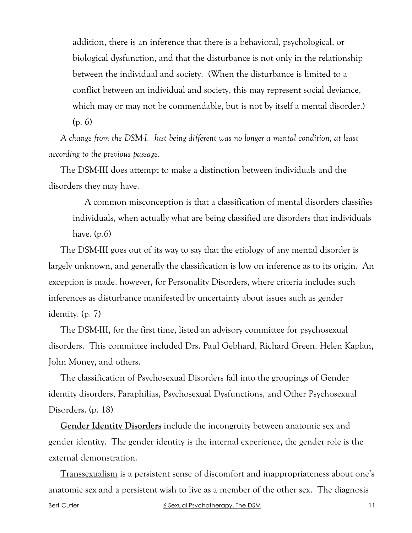addition, there is an inference that there is a behavioral, psychological, or biological dysfunction, and that the disturbance is not only in the relationship between the individual and society. (When the disturbance is limited to a conflict between an individual and society, this may represent social deviance, which may or may not be commendable, but is not by itself a mental disorder.) (p. 6)

*A change from the DSM-I. Just being different was no longer a mental condition, at least according to the previous passage.*

The DSM-III does attempt to make a distinction between individuals and the disorders they may have.

A common misconception is that a classification of mental disorders classifies individuals, when actually what are being classified are disorders that individuals have. (p.6)

The DSM-III goes out of its way to say that the etiology of any mental disorder is largely unknown, and generally the classification is low on inference as to its origin. An exception is made, however, for Personality Disorders, where criteria includes such inferences as disturbance manifested by uncertainty about issues such as gender identity. (p. 7)

The DSM-III, for the first time, listed an advisory committee for psychosexual disorders. This committee included Drs. Paul Gebhard, Richard Green, Helen Kaplan, John Money, and others.

The classification of Psychosexual Disorders fall into the groupings of Gender identity disorders, Paraphilias, Psychosexual Dysfunctions, and Other Psychosexual Disorders. (p. 18)

**Gender Identity Disorders** include the incongruity between anatomic sex and gender identity. The gender identity is the internal experience, the gender role is the external demonstration.

Bert Cutler and the Sexual Psychotherapy, The DSM 11 Transsexualism is a persistent sense of discomfort and inappropriateness about one's anatomic sex and a persistent wish to live as a member of the other sex. The diagnosis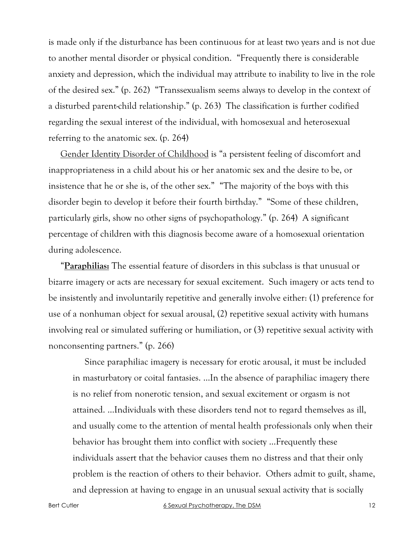is made only if the disturbance has been continuous for at least two years and is not due to another mental disorder or physical condition. "Frequently there is considerable anxiety and depression, which the individual may attribute to inability to live in the role of the desired sex." (p. 262) "Transsexualism seems always to develop in the context of a disturbed parent-child relationship." (p. 263) The classification is further codified regarding the sexual interest of the individual, with homosexual and heterosexual referring to the anatomic sex. (p. 264)

Gender Identity Disorder of Childhood is "a persistent feeling of discomfort and inappropriateness in a child about his or her anatomic sex and the desire to be, or insistence that he or she is, of the other sex." "The majority of the boys with this disorder begin to develop it before their fourth birthday." "Some of these children, particularly girls, show no other signs of psychopathology." (p. 264) A significant percentage of children with this diagnosis become aware of a homosexual orientation during adolescence.

"**Paraphilias:** The essential feature of disorders in this subclass is that unusual or bizarre imagery or acts are necessary for sexual excitement. Such imagery or acts tend to be insistently and involuntarily repetitive and generally involve either: (1) preference for use of a nonhuman object for sexual arousal, (2) repetitive sexual activity with humans involving real or simulated suffering or humiliation, or (3) repetitive sexual activity with nonconsenting partners." (p. 266)

Since paraphiliac imagery is necessary for erotic arousal, it must be included in masturbatory or coital fantasies. …In the absence of paraphiliac imagery there is no relief from nonerotic tension, and sexual excitement or orgasm is not attained. …Individuals with these disorders tend not to regard themselves as ill, and usually come to the attention of mental health professionals only when their behavior has brought them into conflict with society …Frequently these individuals assert that the behavior causes them no distress and that their only problem is the reaction of others to their behavior. Others admit to guilt, shame, and depression at having to engage in an unusual sexual activity that is socially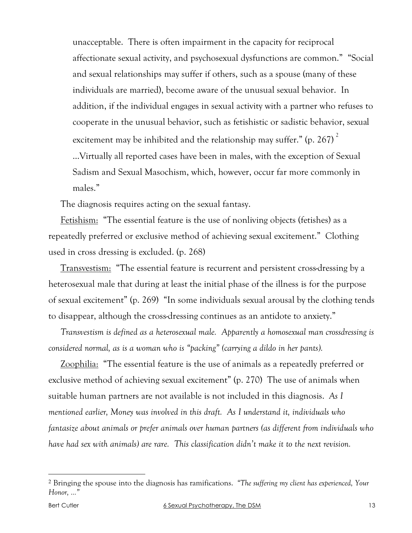unacceptable. There is often impairment in the capacity for reciprocal affectionate sexual activity, and psychosexual dysfunctions are common." "Social and sexual relationships may suffer if others, such as a spouse (many of these individuals are married), become aware of the unusual sexual behavior. In addition, if the individual engages in sexual activity with a partner who refuses to cooperate in the unusual behavior, such as fetishistic or sadistic behavior, sexual excitement may be inhibited and the relationship may suffer." (p. 267) $2$ …Virtually all reported cases have been in males, with the exception of Sexual Sadism and Sexual Masochism, which, however, occur far more commonly in males."

The diagnosis requires acting on the sexual fantasy.

Fetishism: "The essential feature is the use of nonliving objects (fetishes) as a repeatedly preferred or exclusive method of achieving sexual excitement." Clothing used in cross dressing is excluded. (p. 268)

Transvestism: "The essential feature is recurrent and persistent cross-dressing by a heterosexual male that during at least the initial phase of the illness is for the purpose of sexual excitement" (p. 269) "In some individuals sexual arousal by the clothing tends to disappear, although the cross-dressing continues as an antidote to anxiety."

*Transvestism is defined as a heterosexual male. Apparently a homosexual man crossdressing is considered normal, as is a woman who is "packing" (carrying a dildo in her pants).*

Zoophilia: "The essential feature is the use of animals as a repeatedly preferred or exclusive method of achieving sexual excitement" (p. 270) The use of animals when suitable human partners are not available is not included in this diagnosis. *As I mentioned earlier, Money was involved in this draft. As I understand it, individuals who fantasize about animals or prefer animals over human partners (as different from individuals who have had sex with animals) are rare. This classification didn't make it to the next revision.*

 <sup>2</sup> Bringing the spouse into the diagnosis has ramifications. *"The suffering my client has experienced, Your Honor, …"*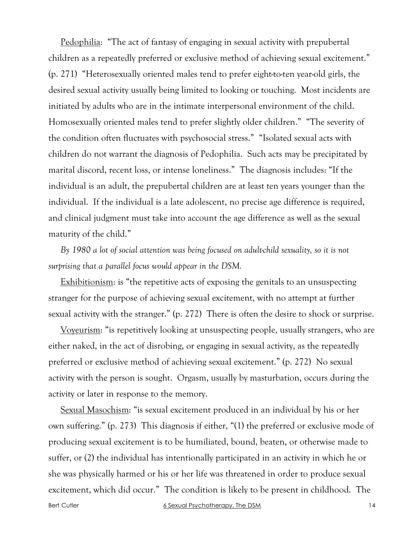Pedophilia: "The act of fantasy of engaging in sexual activity with prepubertal children as a repeatedly preferred or exclusive method of achieving sexual excitement." (p. 271) "Heterosexually oriented males tend to prefer eight-to-ten year-old girls, the desired sexual activity usually being limited to looking or touching. Most incidents are initiated by adults who are in the intimate interpersonal environment of the child. Homosexually oriented males tend to prefer slightly older children." "The severity of the condition often fluctuates with psychosocial stress." "Isolated sexual acts with children do not warrant the diagnosis of Pedophilia. Such acts may be precipitated by marital discord, recent loss, or intense loneliness." The diagnosis includes: "If the individual is an adult, the prepubertal children are at least ten years younger than the individual. If the individual is a late adolescent, no precise age difference is required, and clinical judgment must take into account the age difference as well as the sexual maturity of the child."

*By 1980 a lot of social attention was being focused on adult-child sexuality, so it is not surprising that a parallel focus would appear in the DSM.*

Exhibitionism: is "the repetitive acts of exposing the genitals to an unsuspecting stranger for the purpose of achieving sexual excitement, with no attempt at further sexual activity with the stranger." (p. 272) There is often the desire to shock or surprise.

Voyeurism: "is repetitively looking at unsuspecting people, usually strangers, who are either naked, in the act of disrobing, or engaging in sexual activity, as the repeatedly preferred or exclusive method of achieving sexual excitement." (p. 272) No sexual activity with the person is sought. Orgasm, usually by masturbation, occurs during the activity or later in response to the memory.

Sexual Masochism: "is sexual excitement produced in an individual by his or her own suffering." (p. 273) This diagnosis if either, "(1) the preferred or exclusive mode of producing sexual excitement is to be humiliated, bound, beaten, or otherwise made to suffer, or (2) the individual has intentionally participated in an activity in which he or she was physically harmed or his or her life was threatened in order to produce sexual excitement, which did occur." The condition is likely to be present in childhood. The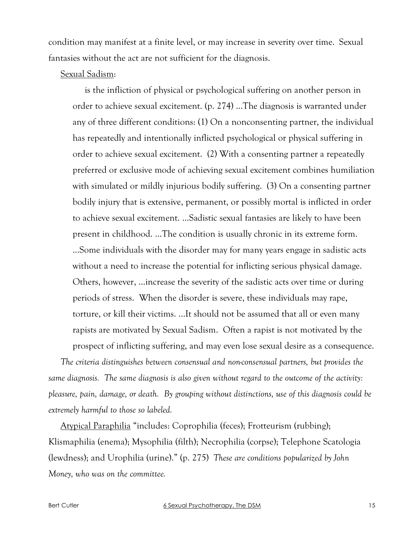condition may manifest at a finite level, or may increase in severity over time. Sexual fantasies without the act are not sufficient for the diagnosis.

#### Sexual Sadism:

is the infliction of physical or psychological suffering on another person in order to achieve sexual excitement. (p. 274) …The diagnosis is warranted under any of three different conditions: (1) On a nonconsenting partner, the individual has repeatedly and intentionally inflicted psychological or physical suffering in order to achieve sexual excitement. (2) With a consenting partner a repeatedly preferred or exclusive mode of achieving sexual excitement combines humiliation with simulated or mildly injurious bodily suffering. (3) On a consenting partner bodily injury that is extensive, permanent, or possibly mortal is inflicted in order to achieve sexual excitement. …Sadistic sexual fantasies are likely to have been present in childhood. …The condition is usually chronic in its extreme form. …Some individuals with the disorder may for many years engage in sadistic acts without a need to increase the potential for inflicting serious physical damage. Others, however, …increase the severity of the sadistic acts over time or during periods of stress. When the disorder is severe, these individuals may rape, torture, or kill their victims. …It should not be assumed that all or even many rapists are motivated by Sexual Sadism. Often a rapist is not motivated by the prospect of inflicting suffering, and may even lose sexual desire as a consequence.

*The criteria distinguishes between consensual and non-consensual partners, but provides the same diagnosis. The same diagnosis is also given without regard to the outcome of the activity: pleasure, pain, damage, or death. By grouping without distinctions, use of this diagnosis could be extremely harmful to those so labeled.*

Atypical Paraphilia "includes: Coprophilia (feces); Frotteurism (rubbing); Klismaphilia (enema); Mysophilia (filth); Necrophilia (corpse); Telephone Scatologia (lewdness); and Urophilia (urine)." (p. 275) *These are conditions popularized by John Money, who was on the committee.*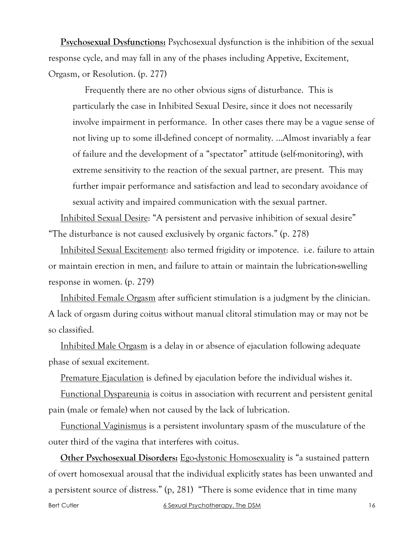**Psychosexual Dysfunctions:** Psychosexual dysfunction is the inhibition of the sexual response cycle, and may fall in any of the phases including Appetive, Excitement, Orgasm, or Resolution. (p. 277)

Frequently there are no other obvious signs of disturbance. This is particularly the case in Inhibited Sexual Desire, since it does not necessarily involve impairment in performance. In other cases there may be a vague sense of not living up to some ill-defined concept of normality. …Almost invariably a fear of failure and the development of a "spectator" attitude (self-monitoring), with extreme sensitivity to the reaction of the sexual partner, are present. This may further impair performance and satisfaction and lead to secondary avoidance of sexual activity and impaired communication with the sexual partner.

Inhibited Sexual Desire: "A persistent and pervasive inhibition of sexual desire" "The disturbance is not caused exclusively by organic factors." (p. 278)

Inhibited Sexual Excitement: also termed frigidity or impotence. i.e. failure to attain or maintain erection in men, and failure to attain or maintain the lubrication-swelling response in women. (p. 279)

Inhibited Female Orgasm after sufficient stimulation is a judgment by the clinician. A lack of orgasm during coitus without manual clitoral stimulation may or may not be so classified.

Inhibited Male Orgasm is a delay in or absence of ejaculation following adequate phase of sexual excitement.

Premature Ejaculation is defined by ejaculation before the individual wishes it.

Functional Dyspareunia is coitus in association with recurrent and persistent genital pain (male or female) when not caused by the lack of lubrication.

Functional Vaginismus is a persistent involuntary spasm of the musculature of the outer third of the vagina that interferes with coitus.

Bert Cutler **6 Sexual Psychotherapy, The DSM** 16 **Other Psychosexual Disorders:** Ego-dystonic Homosexuality is "a sustained pattern of overt homosexual arousal that the individual explicitly states has been unwanted and a persistent source of distress." (p, 281) "There is some evidence that in time many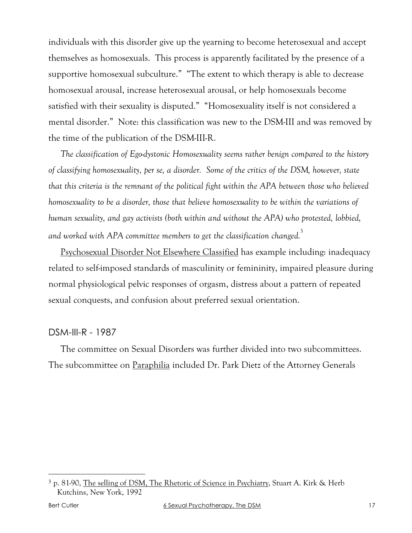individuals with this disorder give up the yearning to become heterosexual and accept themselves as homosexuals. This process is apparently facilitated by the presence of a supportive homosexual subculture." "The extent to which therapy is able to decrease homosexual arousal, increase heterosexual arousal, or help homosexuals become satisfied with their sexuality is disputed." "Homosexuality itself is not considered a mental disorder." Note: this classification was new to the DSM-III and was removed by the time of the publication of the DSM-III-R.

*The classification of Ego-dystonic Homosexuality seems rather benign compared to the history of classifying homosexuality, per se, a disorder. Some of the critics of the DSM, however, state that this criteria is the remnant of the political fight within the APA between those who believed homosexuality to be a disorder, those that believe homosexuality to be within the variations of human sexuality, and gay activists (both within and without the APA) who protested, lobbied, and worked with APA committee members to get the classification changed.*<sup>3</sup>

Psychosexual Disorder Not Elsewhere Classified has example including: inadequacy related to self-imposed standards of masculinity or femininity, impaired pleasure during normal physiological pelvic responses of orgasm, distress about a pattern of repeated sexual conquests, and confusion about preferred sexual orientation.

## DSM-III-R - 1987

The committee on Sexual Disorders was further divided into two subcommittees. The subcommittee on Paraphilia included Dr. Park Dietz of the Attorney Generals

 <sup>3</sup> p. 81-90, The selling of DSM, The Rhetoric of Science in Psychiatry, Stuart A. Kirk & Herb Kutchins, New York, 1992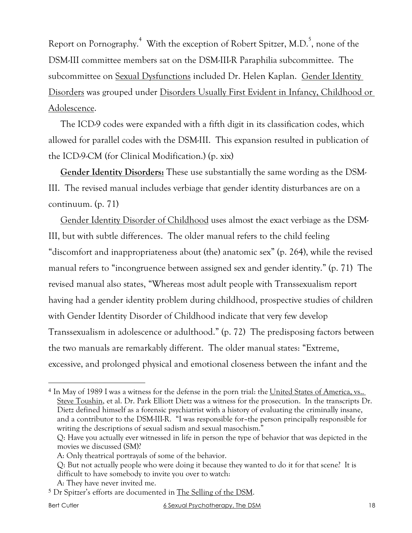Report on Pornography.<sup>4</sup> With the exception of Robert Spitzer, M.D.<sup>5</sup>, none of the DSM-III committee members sat on the DSM-III-R Paraphilia subcommittee. The subcommittee on Sexual Dysfunctions included Dr. Helen Kaplan. Gender Identity Disorders was grouped under Disorders Usually First Evident in Infancy, Childhood or Adolescence.

The ICD-9 codes were expanded with a fifth digit in its classification codes, which allowed for parallel codes with the DSM-III. This expansion resulted in publication of the ICD-9-CM (for Clinical Modification.) (p. xix)

**Gender Identity Disorders:** These use substantially the same wording as the DSM-III. The revised manual includes verbiage that gender identity disturbances are on a continuum. (p. 71)

Gender Identity Disorder of Childhood uses almost the exact verbiage as the DSM-III, but with subtle differences. The older manual refers to the child feeling "discomfort and inappropriateness about (the) anatomic sex" (p. 264), while the revised manual refers to "incongruence between assigned sex and gender identity." (p. 71) The revised manual also states, "Whereas most adult people with Transsexualism report having had a gender identity problem during childhood, prospective studies of children with Gender Identity Disorder of Childhood indicate that very few develop Transsexualism in adolescence or adulthood." (p. 72) The predisposing factors between the two manuals are remarkably different. The older manual states: "Extreme, excessive, and prolonged physical and emotional closeness between the infant and the

 <sup>4</sup> In May of 1989 I was a witness for the defense in the porn trial: the United States of America, vs.. Steve Toushin, et al. Dr. Park Elliott Dietz was a witness for the prosecution. In the transcripts Dr. Dietz defined himself as a forensic psychiatrist with a history of evaluating the criminally insane, and a contributor to the DSM-III-R. "I was responsible for–the person principally responsible for writing the descriptions of sexual sadism and sexual masochism."

Q: Have you actually ever witnessed in life in person the type of behavior that was depicted in the movies we discussed (SM)?

A: Only theatrical portrayals of some of the behavior.

Q: But not actually people who were doing it because they wanted to do it for that scene? It is difficult to have somebody to invite you over to watch:

A: They have never invited me.

<sup>5</sup> Dr Spitzer's efforts are documented in The Selling of the DSM.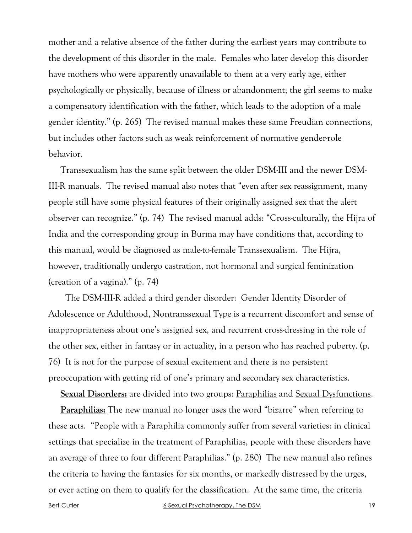mother and a relative absence of the father during the earliest years may contribute to the development of this disorder in the male. Females who later develop this disorder have mothers who were apparently unavailable to them at a very early age, either psychologically or physically, because of illness or abandonment; the girl seems to make a compensatory identification with the father, which leads to the adoption of a male gender identity." (p. 265) The revised manual makes these same Freudian connections, but includes other factors such as weak reinforcement of normative gender-role behavior.

Transsexualism has the same split between the older DSM-III and the newer DSM-III-R manuals. The revised manual also notes that "even after sex reassignment, many people still have some physical features of their originally assigned sex that the alert observer can recognize." (p. 74) The revised manual adds: "Cross-culturally, the Hijra of India and the corresponding group in Burma may have conditions that, according to this manual, would be diagnosed as male-to-female Transsexualism. The Hijra, however, traditionally undergo castration, not hormonal and surgical feminization (creation of a vagina)." (p. 74)

 The DSM-III-R added a third gender disorder: Gender Identity Disorder of Adolescence or Adulthood, Nontranssexual Type is a recurrent discomfort and sense of inappropriateness about one's assigned sex, and recurrent cross-dressing in the role of the other sex, either in fantasy or in actuality, in a person who has reached puberty. (p. 76) It is not for the purpose of sexual excitement and there is no persistent preoccupation with getting rid of one's primary and secondary sex characteristics.

**Sexual Disorders:** are divided into two groups: Paraphilias and Sexual Dysfunctions.

**Paraphilias:** The new manual no longer uses the word "bizarre" when referring to these acts. "People with a Paraphilia commonly suffer from several varieties: in clinical settings that specialize in the treatment of Paraphilias, people with these disorders have an average of three to four different Paraphilias." (p. 280) The new manual also refines the criteria to having the fantasies for six months, or markedly distressed by the urges, or ever acting on them to qualify for the classification. At the same time, the criteria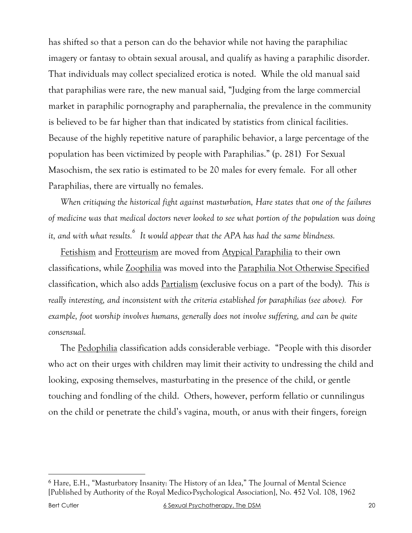has shifted so that a person can do the behavior while not having the paraphiliac imagery or fantasy to obtain sexual arousal, and qualify as having a paraphilic disorder. That individuals may collect specialized erotica is noted. While the old manual said that paraphilias were rare, the new manual said, "Judging from the large commercial market in paraphilic pornography and paraphernalia, the prevalence in the community is believed to be far higher than that indicated by statistics from clinical facilities. Because of the highly repetitive nature of paraphilic behavior, a large percentage of the population has been victimized by people with Paraphilias." (p. 281) For Sexual Masochism, the sex ratio is estimated to be 20 males for every female. For all other Paraphilias, there are virtually no females.

*When critiquing the historical fight against masturbation, Hare states that one of the failures of medicine was that medical doctors never looked to see what portion of the population was doing it, and with what results.6 It would appear that the APA has had the same blindness.*

Fetishism and Frotteurism are moved from Atypical Paraphilia to their own classifications, while Zoophilia was moved into the Paraphilia Not Otherwise Specified classification, which also adds Partialism (exclusive focus on a part of the body). *This is really interesting, and inconsistent with the criteria established for paraphilias (see above). For example, foot worship involves humans, generally does not involve suffering, and can be quite consensual.*

The Pedophilia classification adds considerable verbiage. "People with this disorder who act on their urges with children may limit their activity to undressing the child and looking, exposing themselves, masturbating in the presence of the child, or gentle touching and fondling of the child. Others, however, perform fellatio or cunnilingus on the child or penetrate the child's vagina, mouth, or anus with their fingers, foreign

 <sup>6</sup> Hare, E.H., "Masturbatory Insanity: The History of an Idea," The Journal of Mental Science [Published by Authority of the Royal Medico-Psychological Association], No. 452 Vol. 108, 1962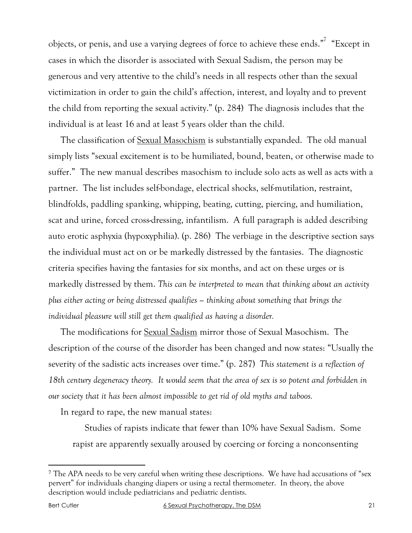objects, or penis, and use a varying degrees of force to achieve these ends." "Except in cases in which the disorder is associated with Sexual Sadism, the person may be generous and very attentive to the child's needs in all respects other than the sexual victimization in order to gain the child's affection, interest, and loyalty and to prevent the child from reporting the sexual activity." (p. 284) The diagnosis includes that the individual is at least 16 and at least 5 years older than the child.

The classification of <u>Sexual Masochism</u> is substantially expanded. The old manual simply lists "sexual excitement is to be humiliated, bound, beaten, or otherwise made to suffer." The new manual describes masochism to include solo acts as well as acts with a partner. The list includes self-bondage, electrical shocks, self-mutilation, restraint, blindfolds, paddling spanking, whipping, beating, cutting, piercing, and humiliation, scat and urine, forced cross-dressing, infantilism. A full paragraph is added describing auto erotic asphyxia (hypoxyphilia). (p. 286) The verbiage in the descriptive section says the individual must act on or be markedly distressed by the fantasies. The diagnostic criteria specifies having the fantasies for six months, and act on these urges or is markedly distressed by them. *This can be interpreted to mean that thinking about an activity plus either acting or being distressed qualifies – thinking about something that brings the individual pleasure will still get them qualified as having a disorder.*

The modifications for Sexual Sadism mirror those of Sexual Masochism. The description of the course of the disorder has been changed and now states: "Usually the severity of the sadistic acts increases over time." (p. 287) *This statement is a reflection of 18th century degeneracy theory. It would seem that the area of sex is so potent and forbidden in our society that it has been almost impossible to get rid of old myths and taboos.*

In regard to rape, the new manual states:

Studies of rapists indicate that fewer than 10% have Sexual Sadism. Some rapist are apparently sexually aroused by coercing or forcing a nonconsenting

 <sup>7</sup> The APA needs to be very careful when writing these descriptions. We have had accusations of "sex pervert" for individuals changing diapers or using a rectal thermometer. In theory, the above description would include pediatricians and pediatric dentists.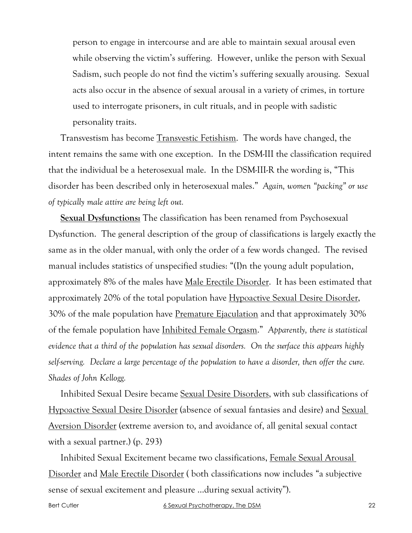person to engage in intercourse and are able to maintain sexual arousal even while observing the victim's suffering. However, unlike the person with Sexual Sadism, such people do not find the victim's suffering sexually arousing. Sexual acts also occur in the absence of sexual arousal in a variety of crimes, in torture used to interrogate prisoners, in cult rituals, and in people with sadistic personality traits.

Transvestism has become Transvestic Fetishism. The words have changed, the intent remains the same with one exception. In the DSM-III the classification required that the individual be a heterosexual male. In the DSM-III-R the wording is, "This disorder has been described only in heterosexual males." *Again, women "packing" or use of typically male attire are being left out.*

**Sexual Dysfunctions:** The classification has been renamed from Psychosexual Dysfunction. The general description of the group of classifications is largely exactly the same as in the older manual, with only the order of a few words changed. The revised manual includes statistics of unspecified studies: "(I)n the young adult population, approximately 8% of the males have Male Erectile Disorder. It has been estimated that approximately 20% of the total population have Hypoactive Sexual Desire Disorder, 30% of the male population have Premature Ejaculation and that approximately 30% of the female population have Inhibited Female Orgasm." *Apparently, there is statistical evidence that a third of the population has sexual disorders. On the surface this appears highly self-serving. Declare a large percentage of the population to have a disorder, then offer the cure. Shades of John Kellogg.*

Inhibited Sexual Desire became Sexual Desire Disorders, with sub classifications of Hypoactive Sexual Desire Disorder (absence of sexual fantasies and desire) and Sexual Aversion Disorder (extreme aversion to, and avoidance of, all genital sexual contact with a sexual partner.) (p. 293)

Inhibited Sexual Excitement became two classifications, Female Sexual Arousal Disorder and Male Erectile Disorder ( both classifications now includes "a subjective sense of sexual excitement and pleasure …during sexual activity").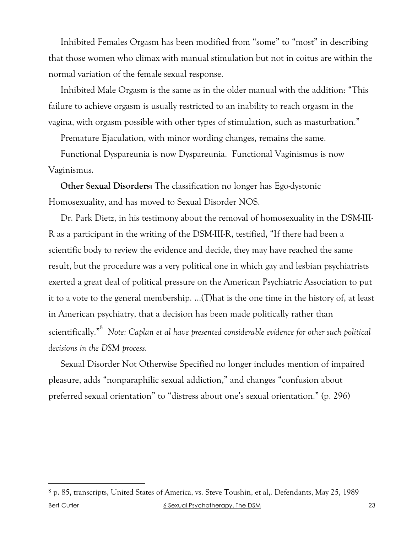Inhibited Females Orgasm has been modified from "some" to "most" in describing that those women who climax with manual stimulation but not in coitus are within the normal variation of the female sexual response.

Inhibited Male Orgasm is the same as in the older manual with the addition: "This failure to achieve orgasm is usually restricted to an inability to reach orgasm in the vagina, with orgasm possible with other types of stimulation, such as masturbation."

Premature Ejaculation, with minor wording changes, remains the same.

Functional Dyspareunia is now Dyspareunia. Functional Vaginismus is now Vaginismus.

**Other Sexual Disorders:** The classification no longer has Ego-dystonic Homosexuality, and has moved to Sexual Disorder NOS.

Dr. Park Dietz, in his testimony about the removal of homosexuality in the DSM-III-R as a participant in the writing of the DSM-III-R, testified, "If there had been a scientific body to review the evidence and decide, they may have reached the same result, but the procedure was a very political one in which gay and lesbian psychiatrists exerted a great deal of political pressure on the American Psychiatric Association to put it to a vote to the general membership. …(T)hat is the one time in the history of, at least in American psychiatry, that a decision has been made politically rather than scientifically."8 *Note: Caplan et al have presented considerable evidence for other such political decisions in the DSM process.*

Sexual Disorder Not Otherwise Specified no longer includes mention of impaired pleasure, adds "nonparaphilic sexual addiction," and changes "confusion about preferred sexual orientation" to "distress about one's sexual orientation." (p. 296)

Bert Cutler and the Sexual Psychotherapy, The DSM 638 Sexual Psychotherapy, The DSM 23 8 p. 85, transcripts, United States of America, vs. Steve Toushin, et al,. Defendants, May 25, 1989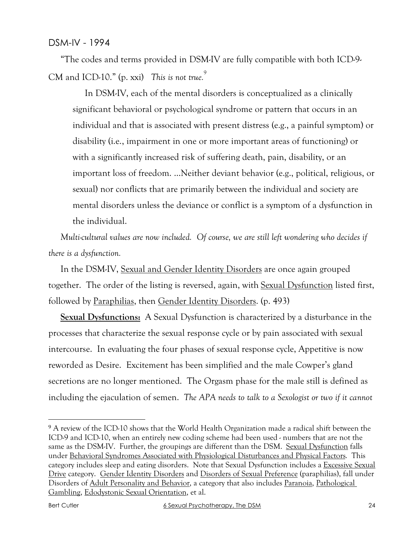"The codes and terms provided in DSM-IV are fully compatible with both ICD-9- CM and ICD-10." (p. xxi) *This is not true.*<sup>9</sup>

In DSM-IV, each of the mental disorders is conceptualized as a clinically significant behavioral or psychological syndrome or pattern that occurs in an individual and that is associated with present distress (e.g., a painful symptom) or disability (i.e., impairment in one or more important areas of functioning) or with a significantly increased risk of suffering death, pain, disability, or an important loss of freedom. …Neither deviant behavior (e.g., political, religious, or sexual) nor conflicts that are primarily between the individual and society are mental disorders unless the deviance or conflict is a symptom of a dysfunction in the individual.

*Multi-cultural values are now included. Of course, we are still left wondering who decides if there is a dysfunction.*

In the DSM-IV, Sexual and Gender Identity Disorders are once again grouped together. The order of the listing is reversed, again, with Sexual Dysfunction listed first, followed by Paraphilias, then Gender Identity Disorders. (p. 493)

**Sexual Dysfunctions:** A Sexual Dysfunction is characterized by a disturbance in the processes that characterize the sexual response cycle or by pain associated with sexual intercourse. In evaluating the four phases of sexual response cycle, Appetitive is now reworded as Desire. Excitement has been simplified and the male Cowper's gland secretions are no longer mentioned. The Orgasm phase for the male still is defined as including the ejaculation of semen. *The APA needs to talk to a Sexologist or two if it cannot* 

<sup>&</sup>lt;sup>9</sup> A review of the ICD-10 shows that the World Health Organization made a radical shift between the ICD-9 and ICD-10, when an entirely new coding scheme had been used - numbers that are not the same as the DSM-IV. Further, the groupings are different than the DSM. Sexual Dysfunction falls under Behavioral Syndromes Associated with Physiological Disturbances and Physical Factors. This category includes sleep and eating disorders. Note that Sexual Dysfunction includes a Excessive Sexual Drive category. Gender Identity Disorders and Disorders of Sexual Preference (paraphilias), fall under Disorders of Adult Personality and Behavior, a category that also includes Paranoia, Pathological Gambling, Edodystonic Sexual Orientation, et al.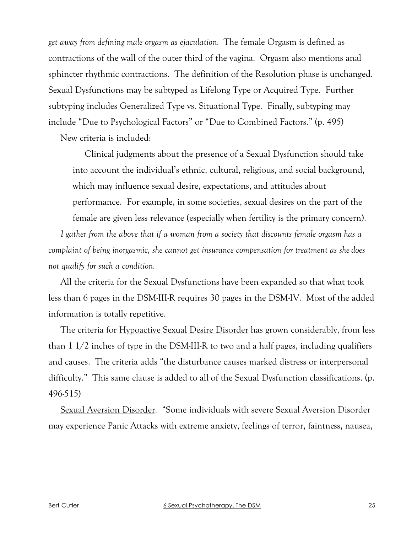*get away from defining male orgasm as ejaculation.* The female Orgasm is defined as contractions of the wall of the outer third of the vagina. Orgasm also mentions anal sphincter rhythmic contractions. The definition of the Resolution phase is unchanged. Sexual Dysfunctions may be subtyped as Lifelong Type or Acquired Type. Further subtyping includes Generalized Type vs. Situational Type. Finally, subtyping may include "Due to Psychological Factors" or "Due to Combined Factors." (p. 495)

New criteria is included:

Clinical judgments about the presence of a Sexual Dysfunction should take into account the individual's ethnic, cultural, religious, and social background, which may influence sexual desire, expectations, and attitudes about performance. For example, in some societies, sexual desires on the part of the female are given less relevance (especially when fertility is the primary concern).

*I gather from the above that if a woman from a society that discounts female orgasm has a complaint of being inorgasmic, she cannot get insurance compensation for treatment as she does not qualify for such a condition.*

All the criteria for the Sexual Dysfunctions have been expanded so that what took less than 6 pages in the DSM-III-R requires 30 pages in the DSM-IV. Most of the added information is totally repetitive.

The criteria for **Hypoactive Sexual Desire Disorder** has grown considerably, from less than 1 1/2 inches of type in the DSM-III-R to two and a half pages, including qualifiers and causes. The criteria adds "the disturbance causes marked distress or interpersonal difficulty." This same clause is added to all of the Sexual Dysfunction classifications. (p. 496-515)

Sexual Aversion Disorder. "Some individuals with severe Sexual Aversion Disorder may experience Panic Attacks with extreme anxiety, feelings of terror, faintness, nausea,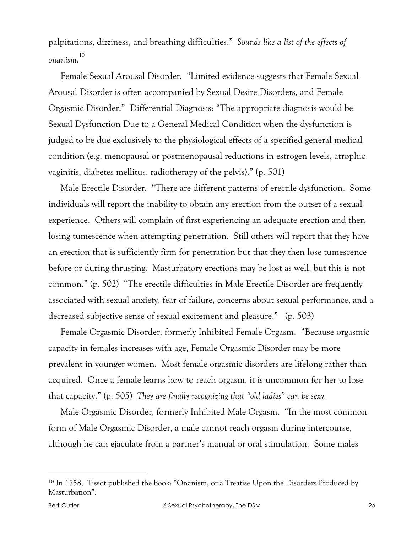palpitations, dizziness, and breathing difficulties." *Sounds like a list of the effects of onanism*. 10

Female Sexual Arousal Disorder. "Limited evidence suggests that Female Sexual Arousal Disorder is often accompanied by Sexual Desire Disorders, and Female Orgasmic Disorder." Differential Diagnosis: "The appropriate diagnosis would be Sexual Dysfunction Due to a General Medical Condition when the dysfunction is judged to be due exclusively to the physiological effects of a specified general medical condition (e.g. menopausal or postmenopausal reductions in estrogen levels, atrophic vaginitis, diabetes mellitus, radiotherapy of the pelvis)." (p. 501)

Male Erectile Disorder. "There are different patterns of erectile dysfunction. Some individuals will report the inability to obtain any erection from the outset of a sexual experience. Others will complain of first experiencing an adequate erection and then losing tumescence when attempting penetration. Still others will report that they have an erection that is sufficiently firm for penetration but that they then lose tumescence before or during thrusting. Masturbatory erections may be lost as well, but this is not common." (p. 502) "The erectile difficulties in Male Erectile Disorder are frequently associated with sexual anxiety, fear of failure, concerns about sexual performance, and a decreased subjective sense of sexual excitement and pleasure." (p. 503)

Female Orgasmic Disorder, formerly Inhibited Female Orgasm. "Because orgasmic capacity in females increases with age, Female Orgasmic Disorder may be more prevalent in younger women. Most female orgasmic disorders are lifelong rather than acquired. Once a female learns how to reach orgasm, it is uncommon for her to lose that capacity." (p. 505) *They are finally recognizing that "old ladies" can be sexy.*

Male Orgasmic Disorder, formerly Inhibited Male Orgasm. "In the most common form of Male Orgasmic Disorder, a male cannot reach orgasm during intercourse, although he can ejaculate from a partner's manual or oral stimulation. Some males

 <sup>10</sup> In 1758, Tissot published the book: "Onanism, or a Treatise Upon the Disorders Produced by Masturbation".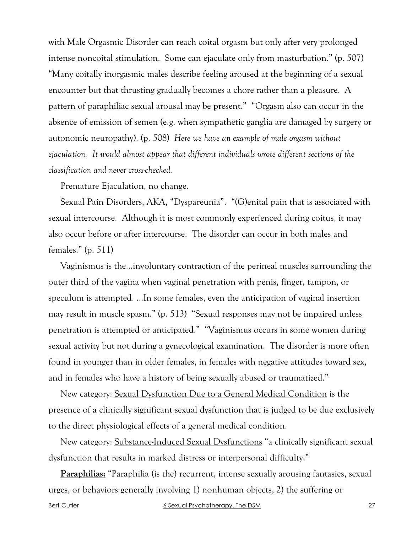with Male Orgasmic Disorder can reach coital orgasm but only after very prolonged intense noncoital stimulation. Some can ejaculate only from masturbation." (p. 507) "Many coitally inorgasmic males describe feeling aroused at the beginning of a sexual encounter but that thrusting gradually becomes a chore rather than a pleasure. A pattern of paraphiliac sexual arousal may be present." "Orgasm also can occur in the absence of emission of semen (e.g. when sympathetic ganglia are damaged by surgery or autonomic neuropathy). (p. 508) *Here we have an example of male orgasm without ejaculation. It would almost appear that different individuals wrote different sections of the classification and never cross-checked.*

Premature Ejaculation, no change.

Sexual Pain Disorders, AKA, "Dyspareunia". "(G)enital pain that is associated with sexual intercourse. Although it is most commonly experienced during coitus, it may also occur before or after intercourse. The disorder can occur in both males and females." (p. 511)

Vaginismus is the…involuntary contraction of the perineal muscles surrounding the outer third of the vagina when vaginal penetration with penis, finger, tampon, or speculum is attempted. …In some females, even the anticipation of vaginal insertion may result in muscle spasm." (p. 513) "Sexual responses may not be impaired unless penetration is attempted or anticipated." "Vaginismus occurs in some women during sexual activity but not during a gynecological examination. The disorder is more often found in younger than in older females, in females with negative attitudes toward sex, and in females who have a history of being sexually abused or traumatized."

New category: Sexual Dysfunction Due to a General Medical Condition is the presence of a clinically significant sexual dysfunction that is judged to be due exclusively to the direct physiological effects of a general medical condition.

New category: Substance-Induced Sexual Dysfunctions "a clinically significant sexual dysfunction that results in marked distress or interpersonal difficulty."

**Paraphilias:** "Paraphilia (is the) recurrent, intense sexually arousing fantasies, sexual urges, or behaviors generally involving 1) nonhuman objects, 2) the suffering or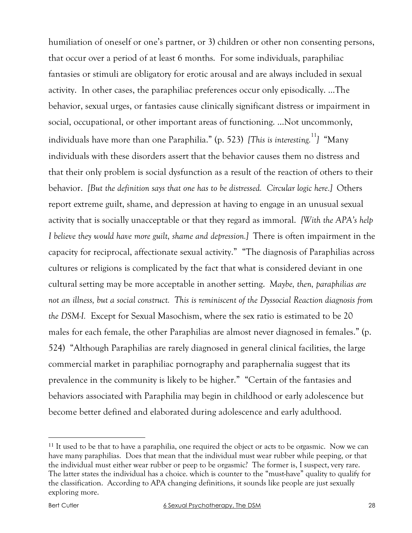humiliation of oneself or one's partner, or 3) children or other non consenting persons, that occur over a period of at least 6 months. For some individuals, paraphiliac fantasies or stimuli are obligatory for erotic arousal and are always included in sexual activity. In other cases, the paraphiliac preferences occur only episodically. …The behavior, sexual urges, or fantasies cause clinically significant distress or impairment in social, occupational, or other important areas of functioning. …Not uncommonly, individuals have more than one Paraphilia." (p. 523) *[This is interesting.*<sup>11</sup>] "Many individuals with these disorders assert that the behavior causes them no distress and that their only problem is social dysfunction as a result of the reaction of others to their behavior. *[But the definition says that one has to be distressed. Circular logic here.]* Others report extreme guilt, shame, and depression at having to engage in an unusual sexual activity that is socially unacceptable or that they regard as immoral. *[With the APA's help I believe they would have more guilt, shame and depression.]* There is often impairment in the capacity for reciprocal, affectionate sexual activity." "The diagnosis of Paraphilias across cultures or religions is complicated by the fact that what is considered deviant in one cultural setting may be more acceptable in another setting. *Maybe, then, paraphilias are not an illness, but a social construct. This is reminiscent of the Dyssocial Reaction diagnosis from the DSM-I.* Except for Sexual Masochism, where the sex ratio is estimated to be 20 males for each female, the other Paraphilias are almost never diagnosed in females." (p. 524) "Although Paraphilias are rarely diagnosed in general clinical facilities, the large commercial market in paraphiliac pornography and paraphernalia suggest that its prevalence in the community is likely to be higher." "Certain of the fantasies and behaviors associated with Paraphilia may begin in childhood or early adolescence but become better defined and elaborated during adolescence and early adulthood.

 <sup>11</sup> It used to be that to have a paraphilia, one required the object or acts to be orgasmic. Now we can have many paraphilias. Does that mean that the individual must wear rubber while peeping, or that the individual must either wear rubber or peep to be orgasmic? The former is, I suspect, very rare. The latter states the individual has a choice. which is counter to the "must-have" quality to qualify for the classification. According to APA changing definitions, it sounds like people are just sexually exploring more.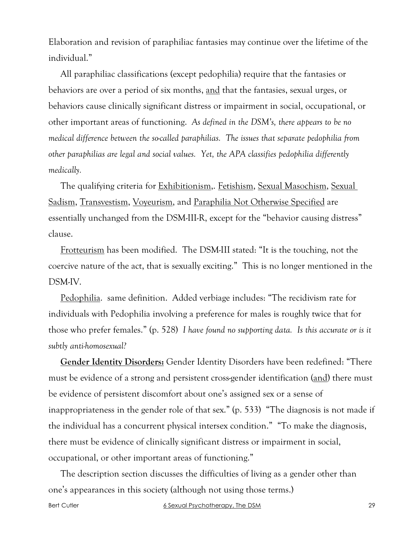Elaboration and revision of paraphiliac fantasies may continue over the lifetime of the individual."

All paraphiliac classifications (except pedophilia) require that the fantasies or behaviors are over a period of six months, and that the fantasies, sexual urges, or behaviors cause clinically significant distress or impairment in social, occupational, or other important areas of functioning. *As defined in the DSM's, there appears to be no medical difference between the so-called paraphilias. The issues that separate pedophilia from other paraphilias are legal and social values. Yet, the APA classifies pedophilia differently medically.*

The qualifying criteria for Exhibitionism,. Fetishism, Sexual Masochism, Sexual Sadism, Transvestism, Voyeurism, and Paraphilia Not Otherwise Specified are essentially unchanged from the DSM-III-R, except for the "behavior causing distress" clause.

Frotteurism has been modified. The DSM-III stated: "It is the touching, not the coercive nature of the act, that is sexually exciting." This is no longer mentioned in the DSM-IV.

Pedophilia. same definition. Added verbiage includes: "The recidivism rate for individuals with Pedophilia involving a preference for males is roughly twice that for those who prefer females." (p. 528) *I have found no supporting data. Is this accurate or is it subtly anti-homosexual?*

**Gender Identity Disorders:** Gender Identity Disorders have been redefined: "There must be evidence of a strong and persistent cross-gender identification (and) there must be evidence of persistent discomfort about one's assigned sex or a sense of inappropriateness in the gender role of that sex." (p. 533) "The diagnosis is not made if the individual has a concurrent physical intersex condition." "To make the diagnosis, there must be evidence of clinically significant distress or impairment in social, occupational, or other important areas of functioning."

The description section discusses the difficulties of living as a gender other than one's appearances in this society (although not using those terms.)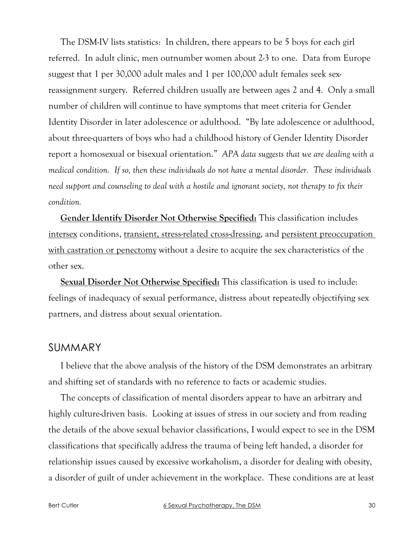The DSM-IV lists statistics: In children, there appears to be 5 boys for each girl referred. In adult clinic, men outnumber women about 2-3 to one. Data from Europe suggest that 1 per 30,000 adult males and 1 per 100,000 adult females seek sexreassignment surgery. Referred children usually are between ages 2 and 4. Only a small number of children will continue to have symptoms that meet criteria for Gender Identity Disorder in later adolescence or adulthood. "By late adolescence or adulthood, about three-quarters of boys who had a childhood history of Gender Identity Disorder report a homosexual or bisexual orientation." *APA data suggests that we are dealing with a medical condition. If so, then these individuals do not have a mental disorder. These individuals need support and counseling to deal with a hostile and ignorant society, not therapy to fix their condition.*

**Gender Identify Disorder Not Otherwise Specified:** This classification includes intersex conditions, transient, stress-related cross-dressing, and persistent preoccupation with castration or penectomy without a desire to acquire the sex characteristics of the other sex.

**Sexual Disorder Not Otherwise Specified:** This classification is used to include: feelings of inadequacy of sexual performance, distress about repeatedly objectifying sex partners, and distress about sexual orientation.

# SUMMARY

I believe that the above analysis of the history of the DSM demonstrates an arbitrary and shifting set of standards with no reference to facts or academic studies.

The concepts of classification of mental disorders appear to have an arbitrary and highly culture-driven basis. Looking at issues of stress in our society and from reading the details of the above sexual behavior classifications, I would expect to see in the DSM classifications that specifically address the trauma of being left handed, a disorder for relationship issues caused by excessive workaholism, a disorder for dealing with obesity, a disorder of guilt of under achievement in the workplace. These conditions are at least